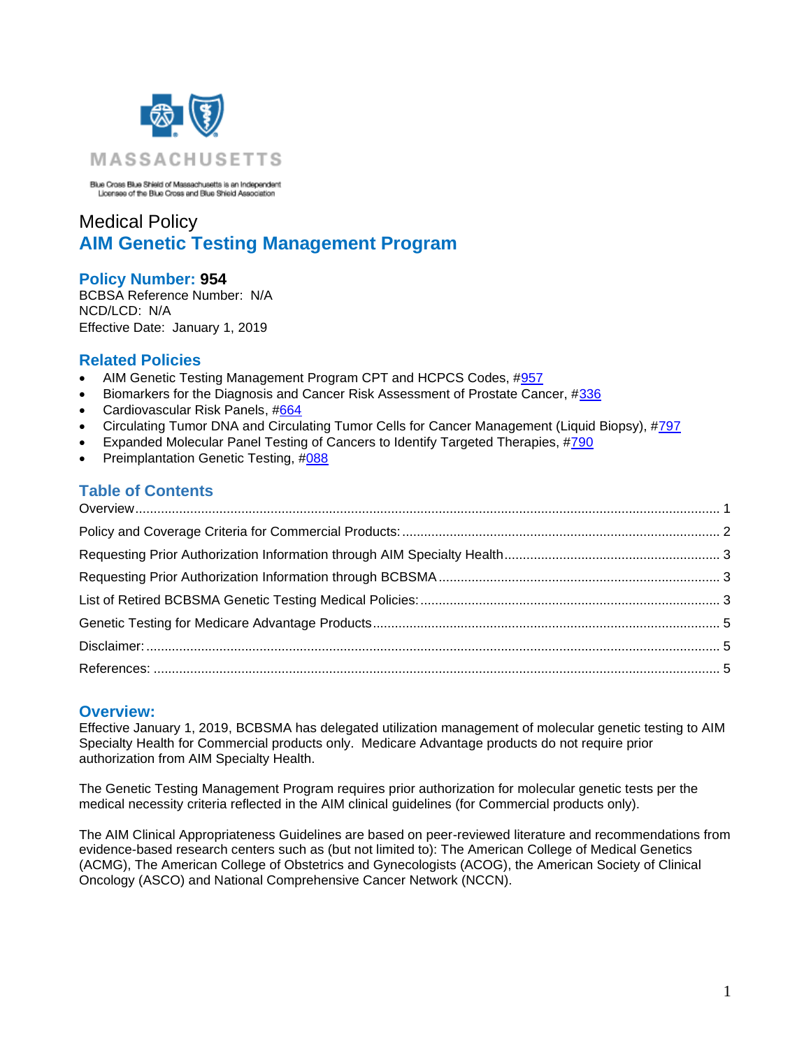

Blue Cross Blue Shield of Massachusetts is an Independent<br>Licensee of the Blue Cross and Blue Shield Association

# Medical Policy **AIM Genetic Testing Management Program**

### **Policy Number: 954**

BCBSA Reference Number: N/A NCD/LCD: N/A Effective Date: January 1, 2019

### **Related Policies**

- AIM Genetic Testing Management Program CPT and HCPCS Codes, #957
- Biomarkers for the Diagnosis and Cancer Risk Assessment of Prostate Cancer, [#336](https://www.bluecrossma.org/medical-policies/sites/g/files/csphws2091/files/acquiadam-assets/336%20Biomarkers%20for%20Diagnosis%20%26%20Cancer%20Risk%20Assessment%20of%20Prostate%20Cancer%20prn.pdf)
- Cardiovascular Risk Panels, [#664](https://www.bluecrossma.org/medical-policies/sites/g/files/csphws2091/files/acquiadam-assets/664%20Cardiovascular%20Risk%20Panels%20prn.pdf)
- Circulating Tumor DNA and Circulating Tumor Cells for Cancer Management (Liquid Biopsy), [#797](http://www.bluecrossma.org/medical-policies/sites/g/files/csphws2091/files/acquiadam-assets/797Circulating_Tumor_DNA_For_Cancer.pdf)
- Expanded Molecular Panel Testing of Cancers to Identify Targeted Therapies, [#790](https://www.bluecrossma.org/medical-policies/sites/g/files/csphws2091/files/acquiadam-assets/790Molecular_Panel_Testing_Cancers.pdf)
- Preimplantation Genetic Testing, [#088](https://www.bluecrossma.org/medical-policies/sites/g/files/csphws2091/files/acquiadam-assets/088%20Preimplantation%20Genetic%20Testing%20prn.pdf)

# **Table of Contents**

### <span id="page-0-0"></span>**Overview:**

Effective January 1, 2019, BCBSMA has delegated utilization management of molecular genetic testing to AIM Specialty Health for Commercial products only. Medicare Advantage products do not require prior authorization from AIM Specialty Health.

The Genetic Testing Management Program requires prior authorization for molecular genetic tests per the medical necessity criteria reflected in the AIM clinical guidelines (for Commercial products only).

The AIM Clinical Appropriateness Guidelines are based on peer-reviewed literature and recommendations from evidence-based research centers such as (but not limited to): The American College of Medical Genetics (ACMG), The American College of Obstetrics and Gynecologists (ACOG), the American Society of Clinical Oncology (ASCO) and National Comprehensive Cancer Network (NCCN).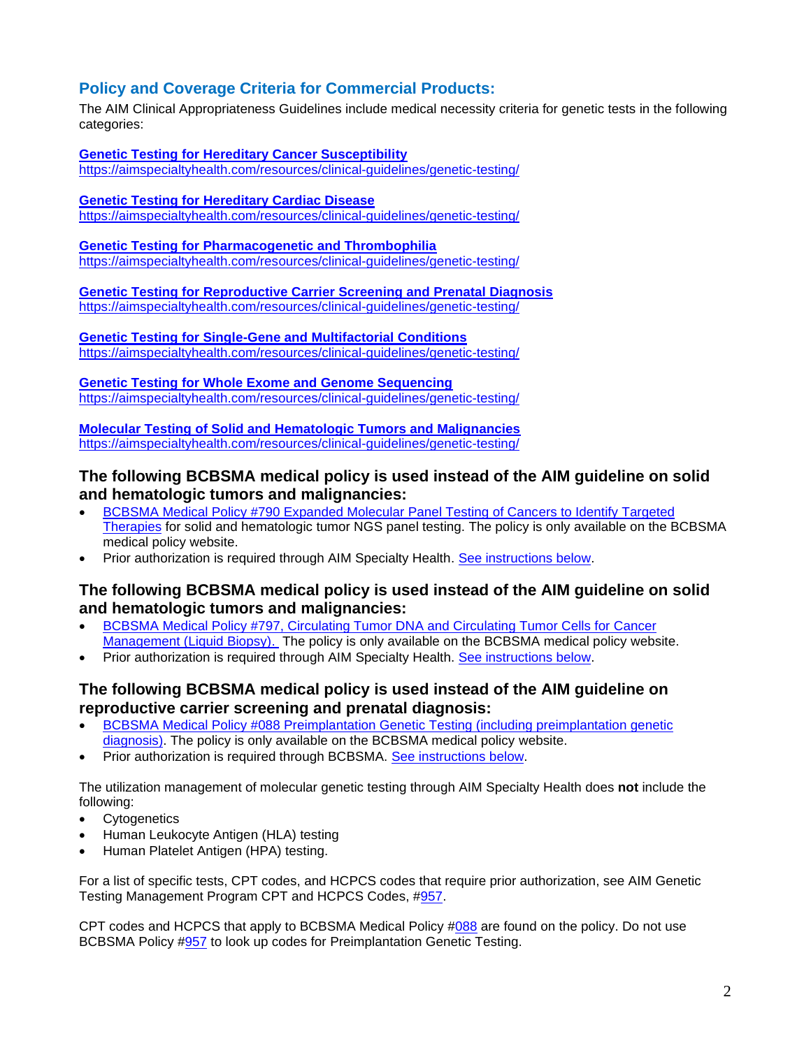### <span id="page-1-0"></span>**Policy and Coverage Criteria for Commercial Products:**

The AIM Clinical Appropriateness Guidelines include medical necessity criteria for genetic tests in the following categories:

**[Genetic Testing for Hereditary Cancer Susceptibility](https://aimspecialtyhealth.com/resources/clinical-guidelines/genetic-testing/)** <https://aimspecialtyhealth.com/resources/clinical-guidelines/genetic-testing/>

**[Genetic Testing for Hereditary Cardiac Disease](https://aimspecialtyhealth.com/resources/clinical-guidelines/genetic-testing/)** <https://aimspecialtyhealth.com/resources/clinical-guidelines/genetic-testing/>

**[Genetic Testing for Pharmacogenetic and Thrombophilia](https://aimspecialtyhealth.com/resources/clinical-guidelines/genetic-testing/)** <https://aimspecialtyhealth.com/resources/clinical-guidelines/genetic-testing/>

**[Genetic Testing for Reproductive Carrier Screening and Prenatal](https://aimspecialtyhealth.com/resources/clinical-guidelines/genetic-testing/) Diagnosis** <https://aimspecialtyhealth.com/resources/clinical-guidelines/genetic-testing/>

**[Genetic Testing for Single-Gene](https://aimspecialtyhealth.com/resources/clinical-guidelines/genetic-testing/) and Multifactorial Conditions** <https://aimspecialtyhealth.com/resources/clinical-guidelines/genetic-testing/>

**[Genetic Testing for Whole Exome and Genome Sequencing](https://aimspecialtyhealth.com/resources/clinical-guidelines/genetic-testing/)** <https://aimspecialtyhealth.com/resources/clinical-guidelines/genetic-testing/>

**[Molecular Testing of Solid and Hematologic Tumors and Malignancies](https://aimspecialtyhealth.com/resources/clinical-guidelines/genetic-testing/)** <https://aimspecialtyhealth.com/resources/clinical-guidelines/genetic-testing/>

### **The following BCBSMA medical policy is used instead of the AIM guideline on solid and hematologic tumors and malignancies:**

- [BCBSMA Medical Policy #790 Expanded Molecular Panel Testing of Cancers to Identify Targeted](https://www.bluecrossma.org/medical-policies/sites/g/files/csphws2091/files/acquiadam-assets/790Molecular_Panel_Testing_Cancers.pdf)  [Therapies](https://www.bluecrossma.org/medical-policies/sites/g/files/csphws2091/files/acquiadam-assets/790Molecular_Panel_Testing_Cancers.pdf) for solid and hematologic tumor NGS panel testing. The policy is only available on the BCBSMA medical policy website.
- Prior authorization is required through AIM Specialty Health. [See instructions below.](#page-2-3)

### **The following BCBSMA medical policy is used instead of the AIM guideline on solid and hematologic tumors and malignancies:**

- [BCBSMA Medical Policy #797, Circulating Tumor DNA and Circulating](http://www.bluecrossma.org/medical-policies/sites/g/files/csphws2091/files/acquiadam-assets/797Circulating_Tumor_DNA_For_Cancer.pdf) Tumor Cells for Cancer [Management \(Liquid Biopsy\).](http://www.bluecrossma.org/medical-policies/sites/g/files/csphws2091/files/acquiadam-assets/797Circulating_Tumor_DNA_For_Cancer.pdf) The policy is only available on the BCBSMA medical policy website.
- Prior authorization is required through AIM Specialty Health. [See instructions below.](#page-2-3)

### **The following BCBSMA medical policy is used instead of the AIM guideline on reproductive carrier screening and prenatal diagnosis:**

- [BCBSMA Medical Policy #088 Preimplantation Genetic Testing \(including preimplantation genetic](https://www.bluecrossma.org/medical-policies/sites/g/files/csphws2091/files/acquiadam-assets/088%20Preimplantation%20Genetic%20Testing%20prn.pdf)  [diagnosis\).](https://www.bluecrossma.org/medical-policies/sites/g/files/csphws2091/files/acquiadam-assets/088%20Preimplantation%20Genetic%20Testing%20prn.pdf) The policy is only available on the BCBSMA medical policy website.
- Prior authorization is required through BCBSMA. [See instructions below.](#page-2-4)

The utilization management of molecular genetic testing through AIM Specialty Health does **not** include the following:

- Cytogenetics
- Human Leukocyte Antigen (HLA) testing
- Human Platelet Antigen (HPA) testing.

For a list of specific tests, CPT codes, and HCPCS codes that require prior authorization, see AIM Genetic Testing Management Program CPT and HCPCS Codes, [#957.](https://www.bluecrossma.org/medical-policies/sites/g/files/csphws2091/files/acquiadam-assets957%20AIM%20Genetic%20Testing%20Management%20Program%20CPT%20and%20HCPCS%20Codes%20prn.pdf)

CPT codes and HCPCS that apply to BCBSMA Medical Policy  $\#088$  $\#088$  are found on the policy. Do not use BCBSMA Policy [#957](https://www.bluecrossma.org/medical-policies/sites/g/files/csphws2091/files/acquiadam-assets957%20AIM%20Genetic%20Testing%20Management%20Program%20CPT%20and%20HCPCS%20Codes%20prn.pdf) to look up codes for Preimplantation Genetic Testing.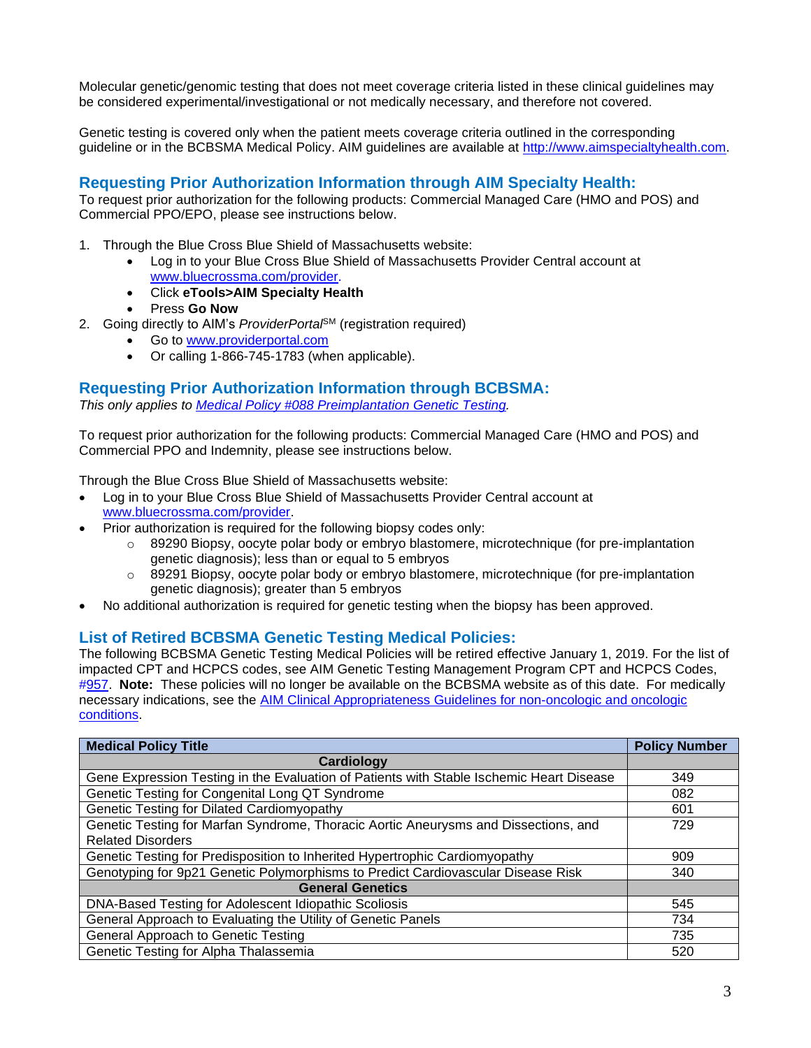Molecular genetic/genomic testing that does not meet coverage criteria listed in these clinical guidelines may be considered experimental/investigational or not medically necessary, and therefore not covered.

Genetic testing is covered only when the patient meets coverage criteria outlined in the corresponding guideline or in the BCBSMA Medical Policy. AIM guidelines are available at [http://www.aimspecialtyhealth.com.](http://www.aimspecialtyhealth.com/)

## <span id="page-2-3"></span><span id="page-2-0"></span>**Requesting Prior Authorization Information through AIM Specialty Health:**

To request prior authorization for the following products: Commercial Managed Care (HMO and POS) and Commercial PPO/EPO, please see instructions below.

- 1. Through the Blue Cross Blue Shield of Massachusetts website:
	- Log in to your Blue Cross Blue Shield of Massachusetts Provider Central account at [www.bluecrossma.com/provider.](file:///C:/Users/bbaker01/AppData/Local/Microsoft/Windows/Temporary%20Internet%20Files/Content.Outlook/9HFCA5DE/www.bluecrossma.com/provider)
	- Click **eTools>AIM Specialty Health**
	- Press **Go Now**
- 2. Going directly to AIM's *ProviderPorta*<sup>6M</sup> (registration required)
	- Go to [www.providerportal.com](http://www.providerportal.com/)
	- Or calling 1-866-745-1783 (when applicable).

#### <span id="page-2-4"></span><span id="page-2-1"></span>**Requesting Prior Authorization Information through BCBSMA:**

*This only applies to [Medical Policy #088 Preimplantation Genetic Testing.](https://www.bluecrossma.org/medical-policies/sites/g/files/csphws2091/files/acquiadam-assets088%20Preimplantation%20Genetic%20Testing%20prn.pdf)*

To request prior authorization for the following products: Commercial Managed Care (HMO and POS) and Commercial PPO and Indemnity, please see instructions below.

Through the Blue Cross Blue Shield of Massachusetts website:

- Log in to your Blue Cross Blue Shield of Massachusetts Provider Central account at [www.bluecrossma.com/provider.](file:///C:/Users/bbaker01/AppData/Local/Microsoft/Windows/Temporary%20Internet%20Files/Content.Outlook/9HFCA5DE/www.bluecrossma.com/provider)
- Prior authorization is required for the following biopsy codes only:
	- $\circ$  89290 Biopsy, oocyte polar body or embryo blastomere, microtechnique (for pre-implantation genetic diagnosis); less than or equal to 5 embryos
	- $\circ$  89291 Biopsy, oocyte polar body or embryo blastomere, microtechnique (for pre-implantation genetic diagnosis); greater than 5 embryos
- No additional authorization is required for genetic testing when the biopsy has been approved.

### <span id="page-2-2"></span>**List of Retired BCBSMA Genetic Testing Medical Policies:**

The following BCBSMA Genetic Testing Medical Policies will be retired effective January 1, 2019. For the list of impacted CPT and HCPCS codes, see AIM Genetic Testing Management Program CPT and HCPCS Codes, [#957.](https://www.bluecrossma.org/medical-policies/sites/g/files/csphws2091/files/acquiadam-assets957%20AIM%20Genetic%20Testing%20Management%20Program%20CPT%20and%20HCPCS%20Codes%20prn.pdf) **Note:** These policies will no longer be available on the BCBSMA website as of this date. For medically necessary indications, see the [AIM Clinical Appropriateness Guidelines for non-oncologic and oncologic](http://www.aimspecialtyhealth.com/CG-GeneticTesting.html)  [conditions.](http://www.aimspecialtyhealth.com/CG-GeneticTesting.html)

| <b>Medical Policy Title</b>                                                              | <b>Policy Number</b> |
|------------------------------------------------------------------------------------------|----------------------|
| Cardiology                                                                               |                      |
| Gene Expression Testing in the Evaluation of Patients with Stable Ischemic Heart Disease | 349                  |
| Genetic Testing for Congenital Long QT Syndrome                                          | 082                  |
| Genetic Testing for Dilated Cardiomyopathy                                               | 601                  |
| Genetic Testing for Marfan Syndrome, Thoracic Aortic Aneurysms and Dissections, and      | 729                  |
| <b>Related Disorders</b>                                                                 |                      |
| Genetic Testing for Predisposition to Inherited Hypertrophic Cardiomyopathy              | 909                  |
| Genotyping for 9p21 Genetic Polymorphisms to Predict Cardiovascular Disease Risk         | 340                  |
| <b>General Genetics</b>                                                                  |                      |
| DNA-Based Testing for Adolescent Idiopathic Scoliosis                                    | 545                  |
| General Approach to Evaluating the Utility of Genetic Panels                             | 734                  |
| General Approach to Genetic Testing                                                      | 735                  |
| Genetic Testing for Alpha Thalassemia                                                    | 520                  |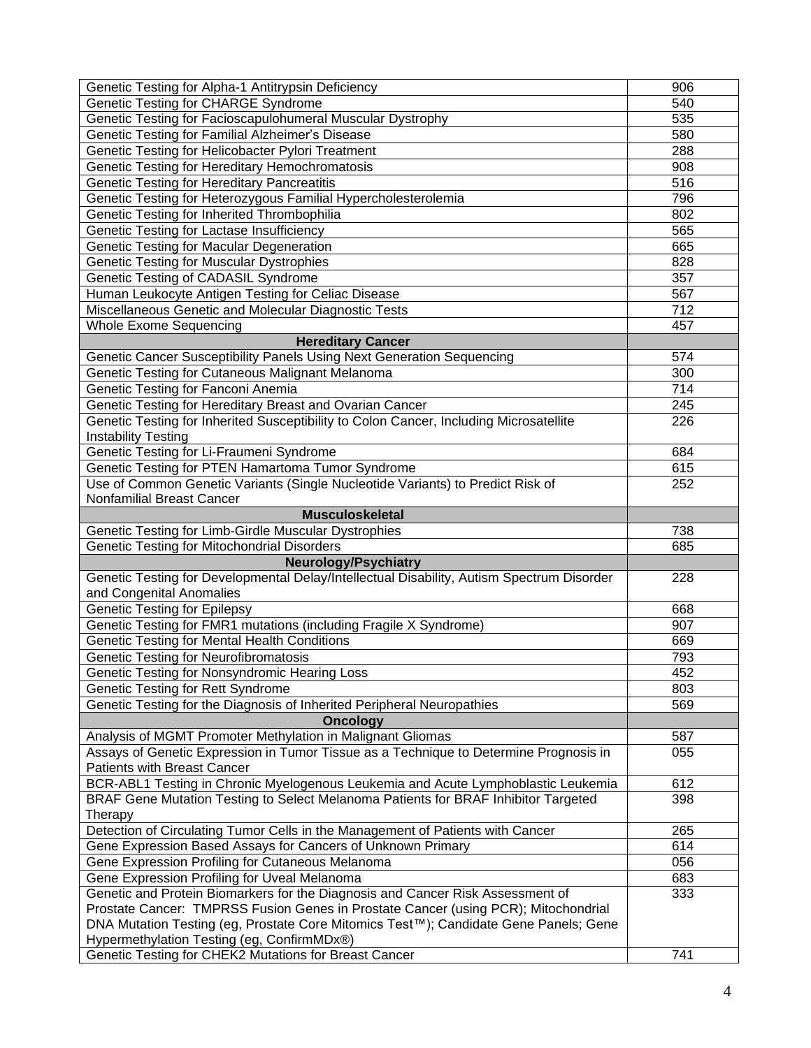| Genetic Testing for Alpha-1 Antitrypsin Deficiency                                        | 906 |
|-------------------------------------------------------------------------------------------|-----|
| Genetic Testing for CHARGE Syndrome                                                       | 540 |
| Genetic Testing for Facioscapulohumeral Muscular Dystrophy                                | 535 |
| Genetic Testing for Familial Alzheimer's Disease                                          | 580 |
| Genetic Testing for Helicobacter Pylori Treatment                                         | 288 |
| Genetic Testing for Hereditary Hemochromatosis                                            | 908 |
| Genetic Testing for Hereditary Pancreatitis                                               | 516 |
| Genetic Testing for Heterozygous Familial Hypercholesterolemia                            | 796 |
| Genetic Testing for Inherited Thrombophilia                                               | 802 |
| Genetic Testing for Lactase Insufficiency                                                 | 565 |
| Genetic Testing for Macular Degeneration                                                  | 665 |
| <b>Genetic Testing for Muscular Dystrophies</b>                                           | 828 |
| Genetic Testing of CADASIL Syndrome                                                       | 357 |
| Human Leukocyte Antigen Testing for Celiac Disease                                        | 567 |
| Miscellaneous Genetic and Molecular Diagnostic Tests                                      | 712 |
| <b>Whole Exome Sequencing</b>                                                             | 457 |
| <b>Hereditary Cancer</b>                                                                  |     |
| Genetic Cancer Susceptibility Panels Using Next Generation Sequencing                     | 574 |
| Genetic Testing for Cutaneous Malignant Melanoma                                          | 300 |
| Genetic Testing for Fanconi Anemia                                                        | 714 |
| Genetic Testing for Hereditary Breast and Ovarian Cancer                                  | 245 |
| Genetic Testing for Inherited Susceptibility to Colon Cancer, Including Microsatellite    | 226 |
| <b>Instability Testing</b>                                                                |     |
| Genetic Testing for Li-Fraumeni Syndrome                                                  | 684 |
| Genetic Testing for PTEN Hamartoma Tumor Syndrome                                         | 615 |
| Use of Common Genetic Variants (Single Nucleotide Variants) to Predict Risk of            | 252 |
| Nonfamilial Breast Cancer                                                                 |     |
| <b>Musculoskeletal</b>                                                                    |     |
| <b>Genetic Testing for Limb-Girdle Muscular Dystrophies</b>                               | 738 |
| <b>Genetic Testing for Mitochondrial Disorders</b>                                        | 685 |
| <b>Neurology/Psychiatry</b>                                                               |     |
| Genetic Testing for Developmental Delay/Intellectual Disability, Autism Spectrum Disorder | 228 |
| and Congenital Anomalies                                                                  |     |
| <b>Genetic Testing for Epilepsy</b>                                                       | 668 |
| Genetic Testing for FMR1 mutations (including Fragile X Syndrome)                         | 907 |
| Genetic Testing for Mental Health Conditions                                              | 669 |
| <b>Genetic Testing for Neurofibromatosis</b>                                              | 793 |
| Genetic Testing for Nonsyndromic Hearing Loss                                             | 452 |
| Genetic Testing for Rett Syndrome                                                         | 803 |
| Genetic Testing for the Diagnosis of Inherited Peripheral Neuropathies                    | 569 |
| <b>Oncology</b>                                                                           |     |
| Analysis of MGMT Promoter Methylation in Malignant Gliomas                                | 587 |
| Assays of Genetic Expression in Tumor Tissue as a Technique to Determine Prognosis in     | 055 |
| <b>Patients with Breast Cancer</b>                                                        |     |
| BCR-ABL1 Testing in Chronic Myelogenous Leukemia and Acute Lymphoblastic Leukemia         | 612 |
| BRAF Gene Mutation Testing to Select Melanoma Patients for BRAF Inhibitor Targeted        | 398 |
| Therapy                                                                                   |     |
| Detection of Circulating Tumor Cells in the Management of Patients with Cancer            | 265 |
| Gene Expression Based Assays for Cancers of Unknown Primary                               | 614 |
| Gene Expression Profiling for Cutaneous Melanoma                                          | 056 |
| Gene Expression Profiling for Uveal Melanoma                                              | 683 |
| Genetic and Protein Biomarkers for the Diagnosis and Cancer Risk Assessment of            | 333 |
| Prostate Cancer: TMPRSS Fusion Genes in Prostate Cancer (using PCR); Mitochondrial        |     |
| DNA Mutation Testing (eg, Prostate Core Mitomics Test™); Candidate Gene Panels; Gene      |     |
| Hypermethylation Testing (eg, ConfirmMDx®)                                                |     |
| Genetic Testing for CHEK2 Mutations for Breast Cancer                                     | 741 |
|                                                                                           |     |